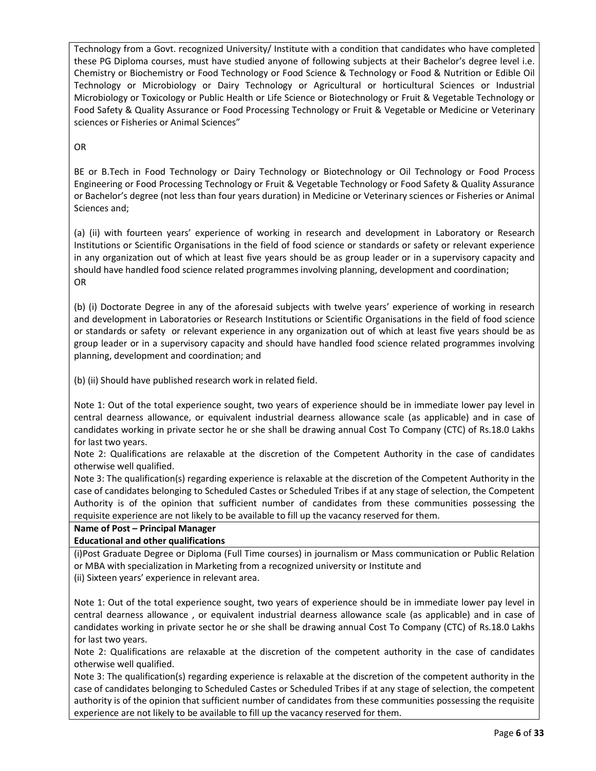Technology from a Govt. recognized University/ Institute with a condition that candidates who have completed these PG Diploma courses, must have studied anyone of following subjects at their Bachelor's degree level i.e. Chemistry or Biochemistry or Food Technology or Food Science & Technology or Food & Nutrition or Edible Oil Technology or Microbiology or Dairy Technology or Agricultural or horticultural Sciences or Industrial Microbiology or Toxicology or Public Health or Life Science or Biotechnology or Fruit & Vegetable Technology or Food Safety & Quality Assurance or Food Processing Technology or Fruit & Vegetable or Medicine or Veterinary sciences or Fisheries or Animal Sciences"

OR

BE or B.Tech in Food Technology or Dairy Technology or Biotechnology or Oil Technology or Food Process Engineering or Food Processing Technology or Fruit & Vegetable Technology or Food Safety & Quality Assurance or Bachelor's degree (not less than four years duration) in Medicine or Veterinary sciences or Fisheries or Animal Sciences and;

(a) (ii) with fourteen years' experience of working in research and development in Laboratory or Research Institutions or Scientific Organisations in the field of food science or standards or safety or relevant experience in any organization out of which at least five years should be as group leader or in a supervisory capacity and should have handled food science related programmes involving planning, development and coordination; OR

(b) (i) Doctorate Degree in any of the aforesaid subjects with twelve years' experience of working in research and development in Laboratories or Research Institutions or Scientific Organisations in the field of food science or standards or safety or relevant experience in any organization out of which at least five years should be as group leader or in a supervisory capacity and should have handled food science related programmes involving planning, development and coordination; and

(b) (ii) Should have published research work in related field.

Note 1: Out of the total experience sought, two years of experience should be in immediate lower pay level in central dearness allowance, or equivalent industrial dearness allowance scale (as applicable) and in case of candidates working in private sector he or she shall be drawing annual Cost To Company (CTC) of Rs.18.0 Lakhs for last two years.

Note 2: Qualifications are relaxable at the discretion of the Competent Authority in the case of candidates otherwise well qualified.

Note 3: The qualification(s) regarding experience is relaxable at the discretion of the Competent Authority in the case of candidates belonging to Scheduled Castes or Scheduled Tribes if at any stage of selection, the Competent Authority is of the opinion that sufficient number of candidates from these communities possessing the requisite experience are not likely to be available to fill up the vacancy reserved for them.

Name of Post – Principal Manager

# Educational and other qualifications

(i)Post Graduate Degree or Diploma (Full Time courses) in journalism or Mass communication or Public Relation or MBA with specialization in Marketing from a recognized university or Institute and

(ii) Sixteen years' experience in relevant area.

Note 1: Out of the total experience sought, two years of experience should be in immediate lower pay level in central dearness allowance , or equivalent industrial dearness allowance scale (as applicable) and in case of candidates working in private sector he or she shall be drawing annual Cost To Company (CTC) of Rs.18.0 Lakhs for last two years.

Note 2: Qualifications are relaxable at the discretion of the competent authority in the case of candidates otherwise well qualified.

Note 3: The qualification(s) regarding experience is relaxable at the discretion of the competent authority in the case of candidates belonging to Scheduled Castes or Scheduled Tribes if at any stage of selection, the competent authority is of the opinion that sufficient number of candidates from these communities possessing the requisite experience are not likely to be available to fill up the vacancy reserved for them.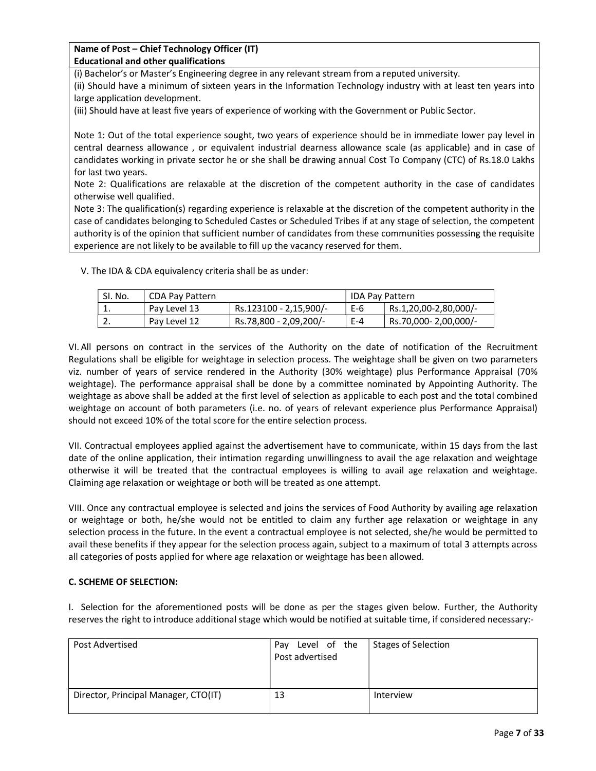Name of Post – Chief Technology Officer (IT) Educational and other qualifications

(i) Bachelor's or Master's Engineering degree in any relevant stream from a reputed university.

(ii) Should have a minimum of sixteen years in the Information Technology industry with at least ten years into large application development.

(iii) Should have at least five years of experience of working with the Government or Public Sector.

Note 1: Out of the total experience sought, two years of experience should be in immediate lower pay level in central dearness allowance , or equivalent industrial dearness allowance scale (as applicable) and in case of candidates working in private sector he or she shall be drawing annual Cost To Company (CTC) of Rs.18.0 Lakhs for last two years.

Note 2: Qualifications are relaxable at the discretion of the competent authority in the case of candidates otherwise well qualified.

Note 3: The qualification(s) regarding experience is relaxable at the discretion of the competent authority in the case of candidates belonging to Scheduled Castes or Scheduled Tribes if at any stage of selection, the competent authority is of the opinion that sufficient number of candidates from these communities possessing the requisite experience are not likely to be available to fill up the vacancy reserved for them.

V. The IDA & CDA equivalency criteria shall be as under:

| SI. No.  | CDA Pay Pattern |                        | I IDA Pay Pattern |                       |  |
|----------|-----------------|------------------------|-------------------|-----------------------|--|
| ᆠ.       | Pay Level 13    | Rs.123100 - 2,15,900/- | E-6               | Rs.1,20,00-2,80,000/- |  |
| <u>.</u> | Pay Level 12    | Rs.78,800 - 2,09,200/  | $E - 4$           | Rs.70,000-2,00,000/-  |  |

VI. All persons on contract in the services of the Authority on the date of notification of the Recruitment Regulations shall be eligible for weightage in selection process. The weightage shall be given on two parameters viz. number of years of service rendered in the Authority (30% weightage) plus Performance Appraisal (70% weightage). The performance appraisal shall be done by a committee nominated by Appointing Authority. The weightage as above shall be added at the first level of selection as applicable to each post and the total combined weightage on account of both parameters (i.e. no. of years of relevant experience plus Performance Appraisal) should not exceed 10% of the total score for the entire selection process.

VII. Contractual employees applied against the advertisement have to communicate, within 15 days from the last date of the online application, their intimation regarding unwillingness to avail the age relaxation and weightage otherwise it will be treated that the contractual employees is willing to avail age relaxation and weightage. Claiming age relaxation or weightage or both will be treated as one attempt.

VIII. Once any contractual employee is selected and joins the services of Food Authority by availing age relaxation or weightage or both, he/she would not be entitled to claim any further age relaxation or weightage in any selection process in the future. In the event a contractual employee is not selected, she/he would be permitted to avail these benefits if they appear for the selection process again, subject to a maximum of total 3 attempts across all categories of posts applied for where age relaxation or weightage has been allowed.

## C. SCHEME OF SELECTION:

I. Selection for the aforementioned posts will be done as per the stages given below. Further, the Authority reserves the right to introduce additional stage which would be notified at suitable time, if considered necessary:-

| Post Advertised                      | Level of the<br>Pay<br>Post advertised | <b>Stages of Selection</b> |
|--------------------------------------|----------------------------------------|----------------------------|
| Director, Principal Manager, CTO(IT) | 13                                     | Interview                  |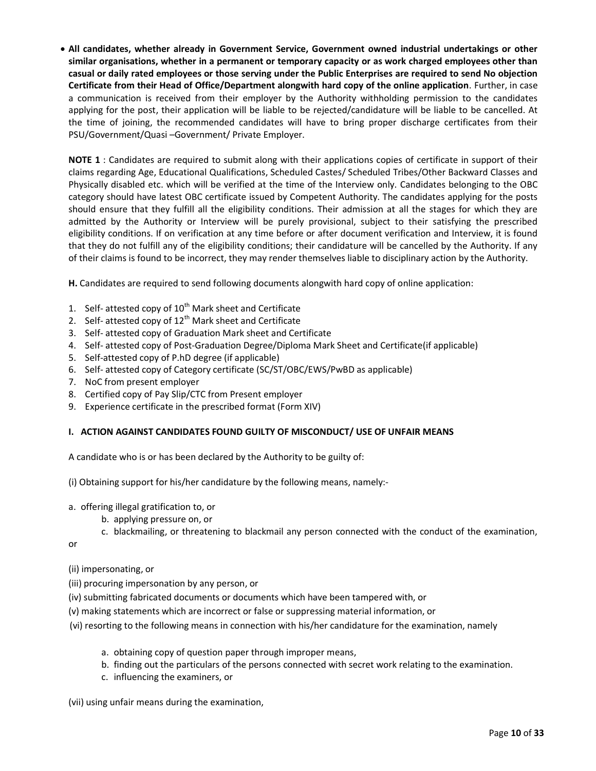All candidates, whether already in Government Service, Government owned industrial undertakings or other similar organisations, whether in a permanent or temporary capacity or as work charged employees other than casual or daily rated employees or those serving under the Public Enterprises are required to send No objection Certificate from their Head of Office/Department alongwith hard copy of the online application. Further, in case a communication is received from their employer by the Authority withholding permission to the candidates applying for the post, their application will be liable to be rejected/candidature will be liable to be cancelled. At the time of joining, the recommended candidates will have to bring proper discharge certificates from their PSU/Government/Quasi –Government/ Private Employer.

NOTE 1 : Candidates are required to submit along with their applications copies of certificate in support of their claims regarding Age, Educational Qualifications, Scheduled Castes/ Scheduled Tribes/Other Backward Classes and Physically disabled etc. which will be verified at the time of the Interview only. Candidates belonging to the OBC category should have latest OBC certificate issued by Competent Authority. The candidates applying for the posts should ensure that they fulfill all the eligibility conditions. Their admission at all the stages for which they are admitted by the Authority or Interview will be purely provisional, subject to their satisfying the prescribed eligibility conditions. If on verification at any time before or after document verification and Interview, it is found that they do not fulfill any of the eligibility conditions; their candidature will be cancelled by the Authority. If any of their claims is found to be incorrect, they may render themselves liable to disciplinary action by the Authority.

H. Candidates are required to send following documents alongwith hard copy of online application:

- 1. Self- attested copy of  $10^{th}$  Mark sheet and Certificate
- 2. Self- attested copy of  $12<sup>th</sup>$  Mark sheet and Certificate
- 3. Self- attested copy of Graduation Mark sheet and Certificate
- 4. Self- attested copy of Post-Graduation Degree/Diploma Mark Sheet and Certificate(if applicable)
- 5. Self-attested copy of P.hD degree (if applicable)
- 6. Self- attested copy of Category certificate (SC/ST/OBC/EWS/PwBD as applicable)
- 7. NoC from present employer
- 8. Certified copy of Pay Slip/CTC from Present employer
- 9. Experience certificate in the prescribed format (Form XIV)

## I. ACTION AGAINST CANDIDATES FOUND GUILTY OF MISCONDUCT/ USE OF UNFAIR MEANS

A candidate who is or has been declared by the Authority to be guilty of:

(i) Obtaining support for his/her candidature by the following means, namely:-

- a. offering illegal gratification to, or
	- b. applying pressure on, or
	- c. blackmailing, or threatening to blackmail any person connected with the conduct of the examination,

or

## (ii) impersonating, or

- (iii) procuring impersonation by any person, or
- (iv) submitting fabricated documents or documents which have been tampered with, or
- (v) making statements which are incorrect or false or suppressing material information, or
- (vi) resorting to the following means in connection with his/her candidature for the examination, namely
	- a. obtaining copy of question paper through improper means,
	- b. finding out the particulars of the persons connected with secret work relating to the examination.
	- c. influencing the examiners, or

(vii) using unfair means during the examination,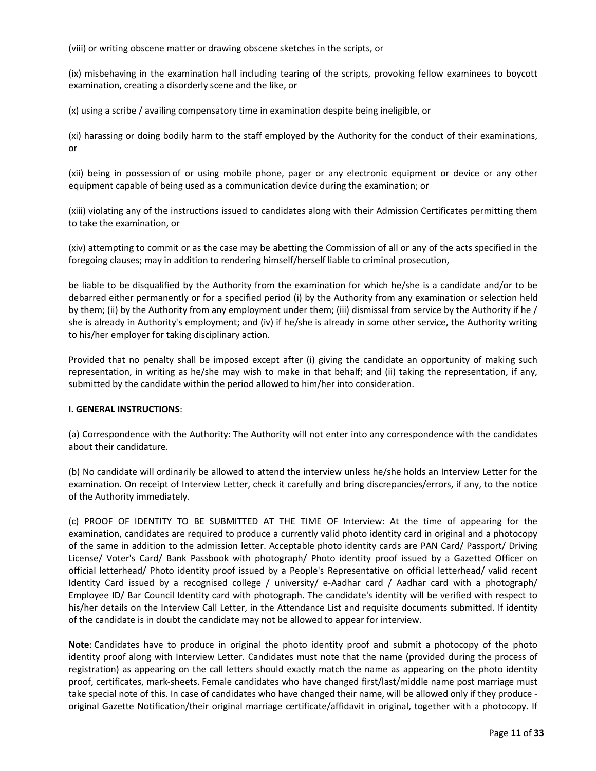(viii) or writing obscene matter or drawing obscene sketches in the scripts, or

(ix) misbehaving in the examination hall including tearing of the scripts, provoking fellow examinees to boycott examination, creating a disorderly scene and the like, or

(x) using a scribe / availing compensatory time in examination despite being ineligible, or

(xi) harassing or doing bodily harm to the staff employed by the Authority for the conduct of their examinations, or

(xii) being in possession of or using mobile phone, pager or any electronic equipment or device or any other equipment capable of being used as a communication device during the examination; or

(xiii) violating any of the instructions issued to candidates along with their Admission Certificates permitting them to take the examination, or

(xiv) attempting to commit or as the case may be abetting the Commission of all or any of the acts specified in the foregoing clauses; may in addition to rendering himself/herself liable to criminal prosecution,

be liable to be disqualified by the Authority from the examination for which he/she is a candidate and/or to be debarred either permanently or for a specified period (i) by the Authority from any examination or selection held by them; (ii) by the Authority from any employment under them; (iii) dismissal from service by the Authority if he / she is already in Authority's employment; and (iv) if he/she is already in some other service, the Authority writing to his/her employer for taking disciplinary action.

Provided that no penalty shall be imposed except after (i) giving the candidate an opportunity of making such representation, in writing as he/she may wish to make in that behalf; and (ii) taking the representation, if any, submitted by the candidate within the period allowed to him/her into consideration.

#### I. GENERAL INSTRUCTIONS:

(a) Correspondence with the Authority: The Authority will not enter into any correspondence with the candidates about their candidature.

(b) No candidate will ordinarily be allowed to attend the interview unless he/she holds an Interview Letter for the examination. On receipt of Interview Letter, check it carefully and bring discrepancies/errors, if any, to the notice of the Authority immediately.

(c) PROOF OF IDENTITY TO BE SUBMITTED AT THE TIME OF Interview: At the time of appearing for the examination, candidates are required to produce a currently valid photo identity card in original and a photocopy of the same in addition to the admission letter. Acceptable photo identity cards are PAN Card/ Passport/ Driving License/ Voter's Card/ Bank Passbook with photograph/ Photo identity proof issued by a Gazetted Officer on official letterhead/ Photo identity proof issued by a People's Representative on official letterhead/ valid recent Identity Card issued by a recognised college / university/ e-Aadhar card / Aadhar card with a photograph/ Employee ID/ Bar Council Identity card with photograph. The candidate's identity will be verified with respect to his/her details on the Interview Call Letter, in the Attendance List and requisite documents submitted. If identity of the candidate is in doubt the candidate may not be allowed to appear for interview.

Note: Candidates have to produce in original the photo identity proof and submit a photocopy of the photo identity proof along with Interview Letter. Candidates must note that the name (provided during the process of registration) as appearing on the call letters should exactly match the name as appearing on the photo identity proof, certificates, mark-sheets. Female candidates who have changed first/last/middle name post marriage must take special note of this. In case of candidates who have changed their name, will be allowed only if they produce original Gazette Notification/their original marriage certificate/affidavit in original, together with a photocopy. If